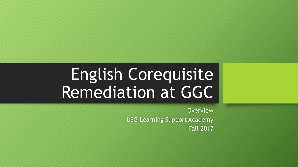# English Corequisite Remediation at GGC

**Overview** USG Learning Support Academy Fall 2017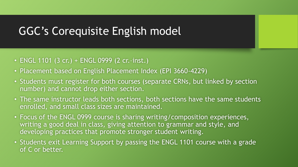### GGC's Corequisite English model

- ENGL 1101 (3 cr.) + ENGL 0999 (2 cr.–inst.)
- Placement based on English Placement Index (EPI 3660-4229)
- Students must register for both courses (separate CRNs, but linked by section number) and cannot drop either section.
- The same instructor leads both sections, both sections have the same students enrolled, and small class sizes are maintained.
- Focus of the ENGL 0999 course is sharing writing/composition experiences, writing a good deal in class, giving attention to grammar and style, and developing practices that promote stronger student writing.
- Students exit Learning Support by passing the ENGL 1101 course with a grade of C or better.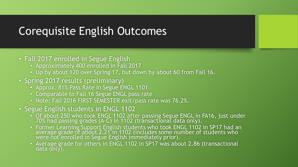# Corequisite English Outcomes

#### • Fall 2017 enrolled in Segue English

- Approximately 400 enrolled in Fall 2017
- Up by about 120 over Spring 17, but down by about 60 from Fall 16.
- Spring 2017 results (preliminary)
	- Approx. 81% Pass Rate in Segue ENGL 1101
	- Comparable to Fall 16 Segue ENGL pass rate
	- Note: Fall 2016 FIRST SEMESTER exit/pass rate was 76.2%.
- Segue English students in ENGL 1102
	- Of about 250 who took ENGL 1102 after passing Segue ENGL in FA16, just under 70% had passing grades (A-C) in 1102 (transactional data only).
	- Former Learning Support English students who took ENGL 1102 in SP17 had an average grade of about 2.21 in 1102 (includes some number of students who were not enrolled in Segue English immediately prior).
	- Average grade for others in ENGL 1102 in SP17 was about 2.86 (transactional data only).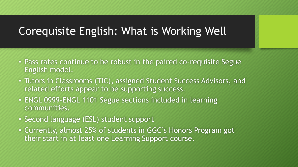# Corequisite English: What is Working Well

- Pass rates continue to be robust in the paired co-requisite Segue English model.
- Tutors in Classrooms (TIC), assigned Student Success Advisors, and related efforts appear to be supporting success.
- ENGL 0999-ENGL 1101 Segue sections included in learning communities.
- Second language (ESL) student support
- Currently, almost 25% of students in GGC's Honors Program got their start in at least one Learning Support course.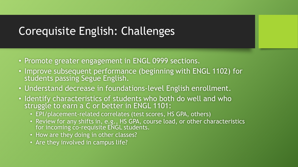# Corequisite English: Challenges

- Promote greater engagement in ENGL 0999 sections.
- Improve subsequent performance (beginning with ENGL 1102) for students passing Segue English.
- Understand decrease in foundations-level English enrollment.
- Identify characteristics of students who both do well and who struggle to earn a C or better in ENGL 1101:
	- EPI/placement-related correlates (test scores, HS GPA, others)
	- Review for any shifts in, e.g., HS GPA, course load, or other characteristics for incoming co-requisite ENGL students.
	- How are they doing in other classes?
	- Are they involved in campus life?